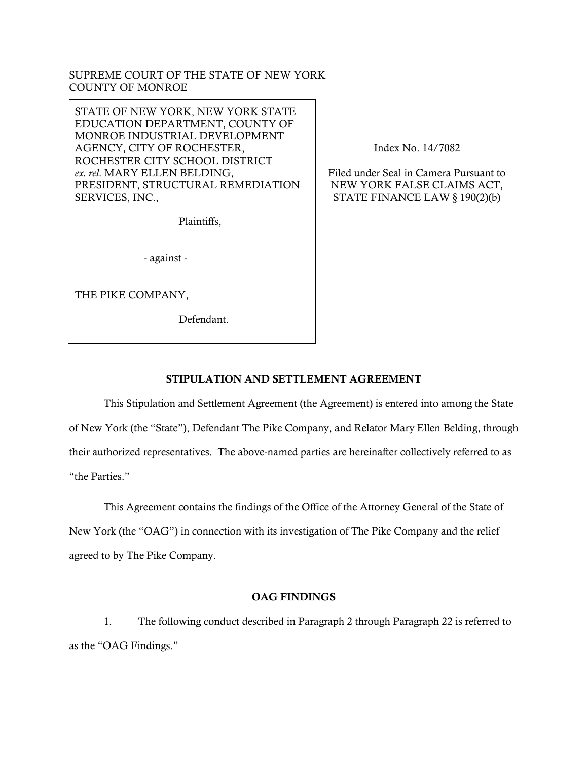SUPREME COURT OF THE STATE OF NEW YORK COUNTY OF MONROE

STATE OF NEW YORK, NEW YORK STATE EDUCATION DEPARTMENT, COUNTY OF MONROE INDUSTRIAL DEVELOPMENT AGENCY, CITY OF ROCHESTER, ROCHESTER CITY SCHOOL DISTRICT *ex. rel*. MARY ELLEN BELDING, PRESIDENT, STRUCTURAL REMEDIATION SERVICES, INC.,

Plaintiffs,

- against -

THE PIKE COMPANY,

Defendant.

Index No. 14/7082

Filed under Seal in Camera Pursuant to NEW YORK FALSE CLAIMS ACT, STATE FINANCE LAW § 190(2)(b)

#### STIPULATION AND SETTLEMENT AGREEMENT

This Stipulation and Settlement Agreement (the Agreement) is entered into among the State of New York (the "State"), Defendant The Pike Company, and Relator Mary Ellen Belding, through their authorized representatives. The above-named parties are hereinafter collectively referred to as "the Parties."

This Agreement contains the findings of the Office of the Attorney General of the State of New York (the "OAG") in connection with its investigation of The Pike Company and the relief agreed to by The Pike Company.

#### OAG FINDINGS

1. The following conduct described in Paragraph [2](#page-1-0) through Paragraph [22](#page-5-0) is referred to as the "OAG Findings."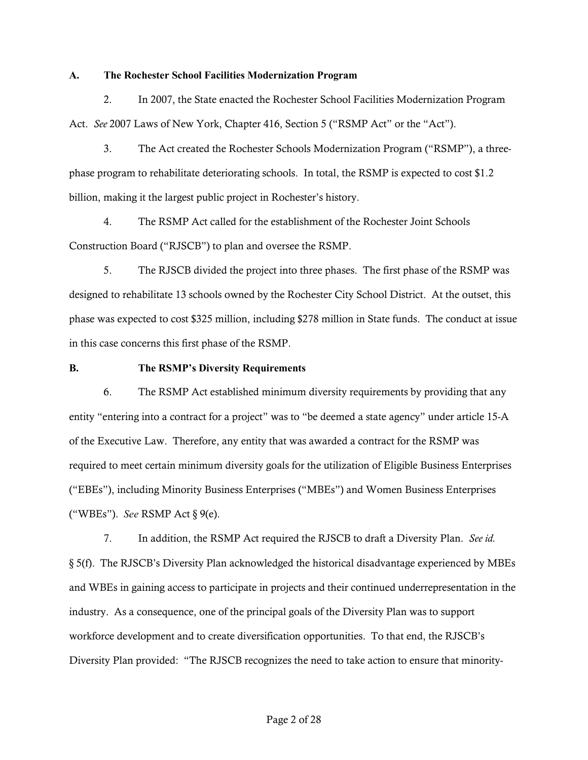#### **A. The Rochester School Facilities Modernization Program**

<span id="page-1-0"></span>2. In 2007, the State enacted the Rochester School Facilities Modernization Program Act. *See* 2007 Laws of New York, Chapter 416, Section 5 ("RSMP Act" or the "Act").

3. The Act created the Rochester Schools Modernization Program ("RSMP"), a threephase program to rehabilitate deteriorating schools. In total, the RSMP is expected to cost \$1.2 billion, making it the largest public project in Rochester's history.

4. The RSMP Act called for the establishment of the Rochester Joint Schools Construction Board ("RJSCB") to plan and oversee the RSMP.

5. The RJSCB divided the project into three phases. The first phase of the RSMP was designed to rehabilitate 13 schools owned by the Rochester City School District. At the outset, this phase was expected to cost \$325 million, including \$278 million in State funds. The conduct at issue in this case concerns this first phase of the RSMP.

#### **B. The RSMP's Diversity Requirements**

6. The RSMP Act established minimum diversity requirements by providing that any entity "entering into a contract for a project" was to "be deemed a state agency" under article 15-A of the Executive Law. Therefore, any entity that was awarded a contract for the RSMP was required to meet certain minimum diversity goals for the utilization of Eligible Business Enterprises ("EBEs"), including Minority Business Enterprises ("MBEs") and Women Business Enterprises ("WBEs"). *See* RSMP Act § 9(e).

7. In addition, the RSMP Act required the RJSCB to draft a Diversity Plan. *See id.*  § 5(f). The RJSCB's Diversity Plan acknowledged the historical disadvantage experienced by MBEs and WBEs in gaining access to participate in projects and their continued underrepresentation in the industry. As a consequence, one of the principal goals of the Diversity Plan was to support workforce development and to create diversification opportunities. To that end, the RJSCB's Diversity Plan provided: "The RJSCB recognizes the need to take action to ensure that minority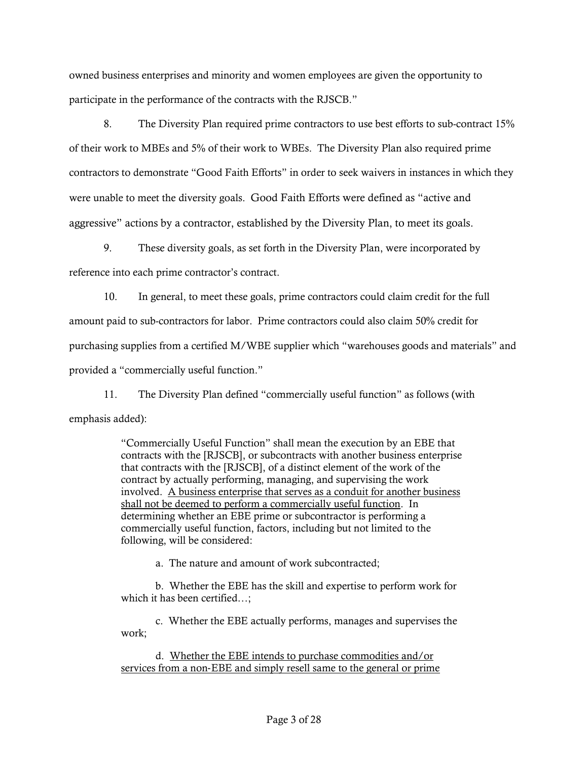owned business enterprises and minority and women employees are given the opportunity to participate in the performance of the contracts with the RJSCB."

8. The Diversity Plan required prime contractors to use best efforts to sub-contract 15% of their work to MBEs and 5% of their work to WBEs. The Diversity Plan also required prime contractors to demonstrate "Good Faith Efforts" in order to seek waivers in instances in which they were unable to meet the diversity goals. Good Faith Efforts were defined as "active and aggressive" actions by a contractor, established by the Diversity Plan, to meet its goals.

9. These diversity goals, as set forth in the Diversity Plan, were incorporated by reference into each prime contractor's contract.

10. In general, to meet these goals, prime contractors could claim credit for the full amount paid to sub-contractors for labor. Prime contractors could also claim 50% credit for purchasing supplies from a certified M/WBE supplier which "warehouses goods and materials" and provided a "commercially useful function."

11. The Diversity Plan defined "commercially useful function" as follows (with emphasis added):

> "Commercially Useful Function" shall mean the execution by an EBE that contracts with the [RJSCB], or subcontracts with another business enterprise that contracts with the [RJSCB], of a distinct element of the work of the contract by actually performing, managing, and supervising the work involved. A business enterprise that serves as a conduit for another business shall not be deemed to perform a commercially useful function. In determining whether an EBE prime or subcontractor is performing a commercially useful function, factors, including but not limited to the following, will be considered:

a. The nature and amount of work subcontracted;

b. Whether the EBE has the skill and expertise to perform work for which it has been certified…;

c. Whether the EBE actually performs, manages and supervises the work;

d. Whether the EBE intends to purchase commodities and/or services from a non‐EBE and simply resell same to the general or prime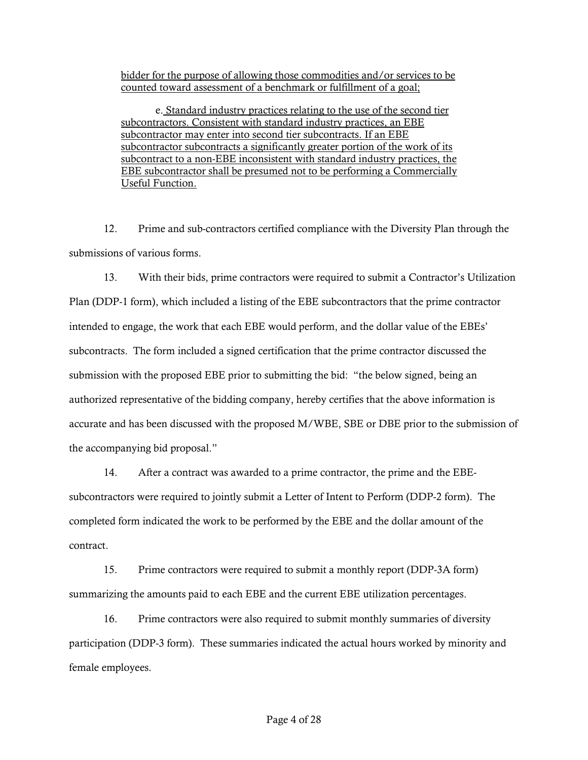bidder for the purpose of allowing those commodities and/or services to be counted toward assessment of a benchmark or fulfillment of a goal;

e. Standard industry practices relating to the use of the second tier subcontractors. Consistent with standard industry practices, an EBE subcontractor may enter into second tier subcontracts. If an EBE subcontractor subcontracts a significantly greater portion of the work of its subcontract to a non-EBE inconsistent with standard industry practices, the EBE subcontractor shall be presumed not to be performing a Commercially Useful Function.

12. Prime and sub-contractors certified compliance with the Diversity Plan through the submissions of various forms.

13. With their bids, prime contractors were required to submit a Contractor's Utilization Plan (DDP-1 form), which included a listing of the EBE subcontractors that the prime contractor intended to engage, the work that each EBE would perform, and the dollar value of the EBEs' subcontracts. The form included a signed certification that the prime contractor discussed the submission with the proposed EBE prior to submitting the bid: "the below signed, being an authorized representative of the bidding company, hereby certifies that the above information is accurate and has been discussed with the proposed M/WBE, SBE or DBE prior to the submission of the accompanying bid proposal."

14. After a contract was awarded to a prime contractor, the prime and the EBEsubcontractors were required to jointly submit a Letter of Intent to Perform (DDP-2 form). The completed form indicated the work to be performed by the EBE and the dollar amount of the contract.

15. Prime contractors were required to submit a monthly report (DDP-3A form) summarizing the amounts paid to each EBE and the current EBE utilization percentages.

16. Prime contractors were also required to submit monthly summaries of diversity participation (DDP-3 form). These summaries indicated the actual hours worked by minority and female employees.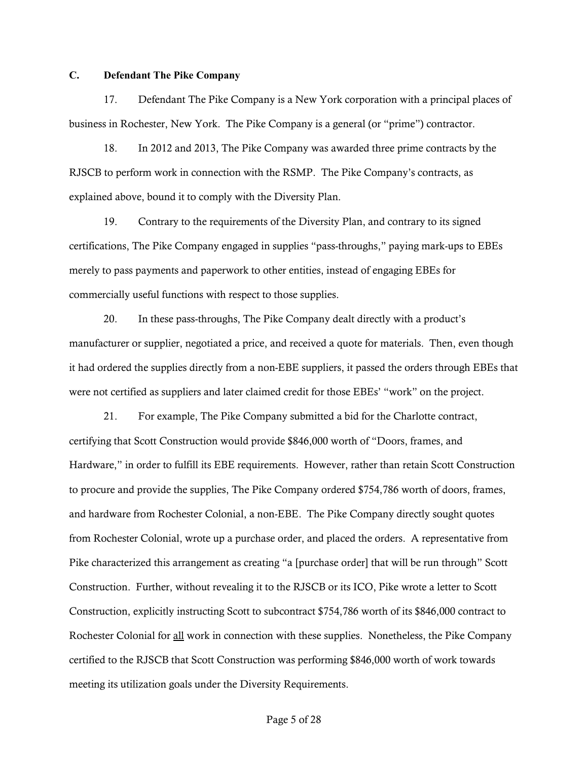### **C. Defendant The Pike Company**

17. Defendant The Pike Company is a New York corporation with a principal places of business in Rochester, New York. The Pike Company is a general (or "prime") contractor.

18. In 2012 and 2013, The Pike Company was awarded three prime contracts by the RJSCB to perform work in connection with the RSMP. The Pike Company's contracts, as explained above, bound it to comply with the Diversity Plan.

19. Contrary to the requirements of the Diversity Plan, and contrary to its signed certifications, The Pike Company engaged in supplies "pass-throughs," paying mark-ups to EBEs merely to pass payments and paperwork to other entities, instead of engaging EBEs for commercially useful functions with respect to those supplies.

20. In these pass-throughs, The Pike Company dealt directly with a product's manufacturer or supplier, negotiated a price, and received a quote for materials. Then, even though it had ordered the supplies directly from a non-EBE suppliers, it passed the orders through EBEs that were not certified as suppliers and later claimed credit for those EBEs' "work" on the project.

21. For example, The Pike Company submitted a bid for the Charlotte contract, certifying that Scott Construction would provide \$846,000 worth of "Doors, frames, and Hardware," in order to fulfill its EBE requirements. However, rather than retain Scott Construction to procure and provide the supplies, The Pike Company ordered \$754,786 worth of doors, frames, and hardware from Rochester Colonial, a non-EBE. The Pike Company directly sought quotes from Rochester Colonial, wrote up a purchase order, and placed the orders. A representative from Pike characterized this arrangement as creating "a [purchase order] that will be run through" Scott Construction. Further, without revealing it to the RJSCB or its ICO, Pike wrote a letter to Scott Construction, explicitly instructing Scott to subcontract \$754,786 worth of its \$846,000 contract to Rochester Colonial for all work in connection with these supplies. Nonetheless, the Pike Company certified to the RJSCB that Scott Construction was performing \$846,000 worth of work towards meeting its utilization goals under the Diversity Requirements.

Page 5 of 28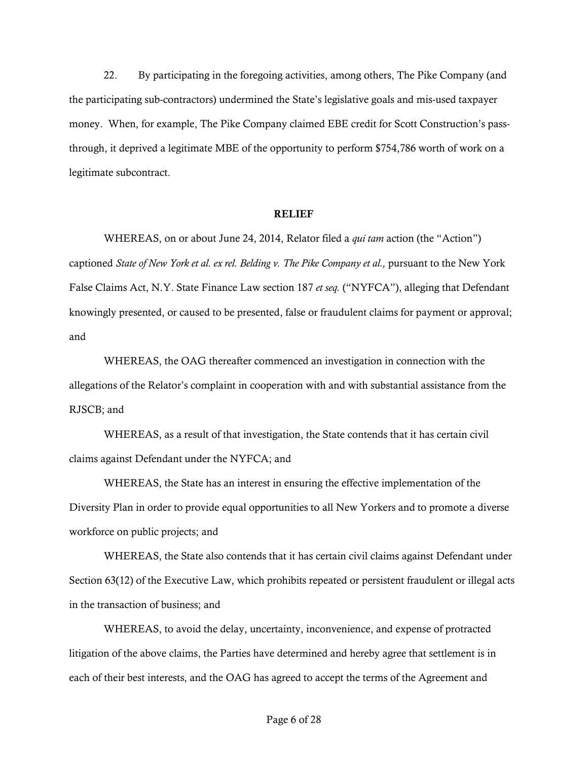<span id="page-5-0"></span>22. By participating in the foregoing activities, among others, The Pike Company (and the participating sub-contractors) undermined the State's legislative goals and mis-used taxpayer money. When, for example, The Pike Company claimed EBE credit for Scott Construction's passthrough, it deprived a legitimate MBE of the opportunity to perform \$754,786 worth of work on a legitimate subcontract.

#### RELIEF

WHEREAS, on or about June 24, 2014, Relator filed a *qui tam* action (the "Action") captioned *State of New York et al. ex rel. Belding v. The Pike Company et al.,* pursuant to the New York False Claims Act, N.Y. State Finance Law section 187 *et seq.* ("NYFCA"), alleging that Defendant knowingly presented, or caused to be presented, false or fraudulent claims for payment or approval; and

WHEREAS, the OAG thereafter commenced an investigation in connection with the allegations of the Relator's complaint in cooperation with and with substantial assistance from the RJSCB; and

WHEREAS, as a result of that investigation, the State contends that it has certain civil claims against Defendant under the NYFCA; and

WHEREAS, the State has an interest in ensuring the effective implementation of the Diversity Plan in order to provide equal opportunities to all New Yorkers and to promote a diverse workforce on public projects; and

WHEREAS, the State also contends that it has certain civil claims against Defendant under Section 63(12) of the Executive Law, which prohibits repeated or persistent fraudulent or illegal acts in the transaction of business; and

WHEREAS, to avoid the delay, uncertainty, inconvenience, and expense of protracted litigation of the above claims, the Parties have determined and hereby agree that settlement is in each of their best interests, and the OAG has agreed to accept the terms of the Agreement and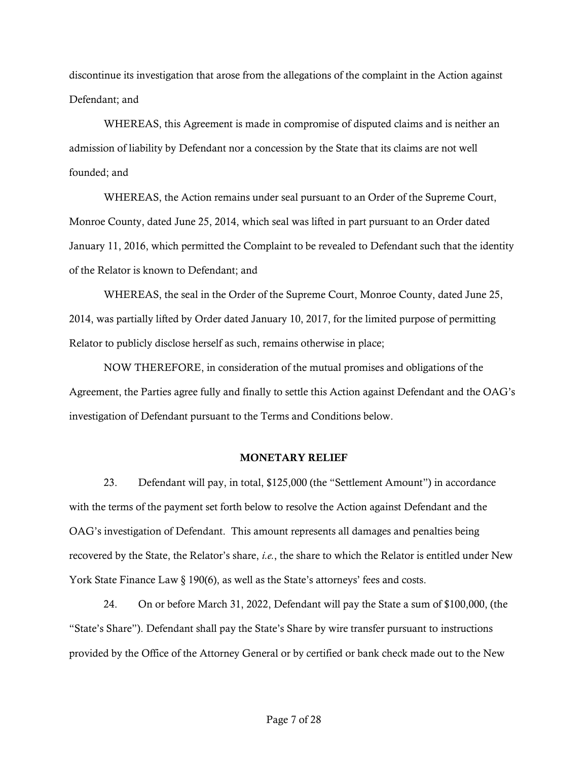discontinue its investigation that arose from the allegations of the complaint in the Action against Defendant; and

WHEREAS, this Agreement is made in compromise of disputed claims and is neither an admission of liability by Defendant nor a concession by the State that its claims are not well founded; and

WHEREAS, the Action remains under seal pursuant to an Order of the Supreme Court, Monroe County, dated June 25, 2014, which seal was lifted in part pursuant to an Order dated January 11, 2016, which permitted the Complaint to be revealed to Defendant such that the identity of the Relator is known to Defendant; and

WHEREAS, the seal in the Order of the Supreme Court, Monroe County, dated June 25, 2014, was partially lifted by Order dated January 10, 2017, for the limited purpose of permitting Relator to publicly disclose herself as such, remains otherwise in place;

NOW THEREFORE, in consideration of the mutual promises and obligations of the Agreement, the Parties agree fully and finally to settle this Action against Defendant and the OAG's investigation of Defendant pursuant to the Terms and Conditions below.

#### MONETARY RELIEF

23. Defendant will pay, in total, \$125,000 (the "Settlement Amount") in accordance with the terms of the payment set forth below to resolve the Action against Defendant and the OAG's investigation of Defendant. This amount represents all damages and penalties being recovered by the State, the Relator's share, *i.e.*, the share to which the Relator is entitled under New York State Finance Law § 190(6), as well as the State's attorneys' fees and costs.

24. On or before March 31, 2022, Defendant will pay the State a sum of \$100,000, (the "State's Share"). Defendant shall pay the State's Share by wire transfer pursuant to instructions provided by the Office of the Attorney General or by certified or bank check made out to the New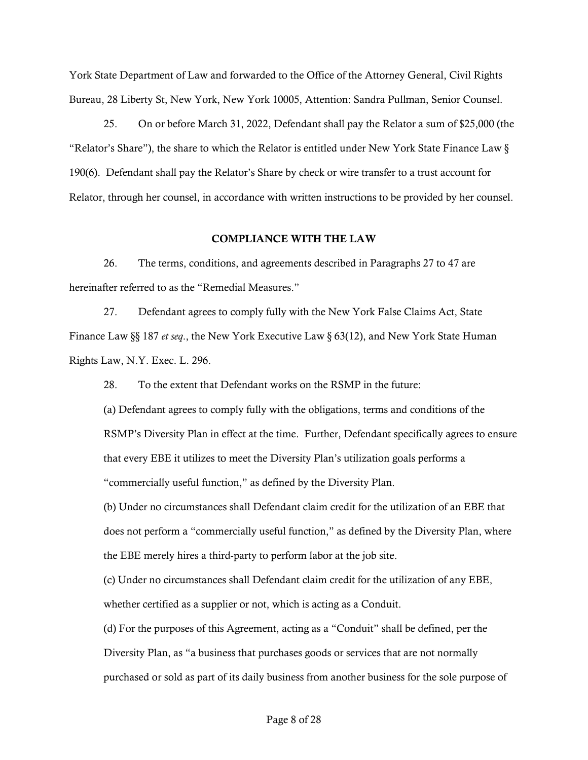York State Department of Law and forwarded to the Office of the Attorney General, Civil Rights Bureau, 28 Liberty St, New York, New York 10005, Attention: Sandra Pullman, Senior Counsel.

<span id="page-7-0"></span>25. On or before March 31, 2022, Defendant shall pay the Relator a sum of \$25,000 (the "Relator's Share"), the share to which the Relator is entitled under New York State Finance Law § 190(6). Defendant shall pay the Relator's Share by check or wire transfer to a trust account for Relator, through her counsel, in accordance with written instructions to be provided by her counsel.

#### COMPLIANCE WITH THE LAW

26. The terms, conditions, and agreements described in Paragraphs 27 to 47 are hereinafter referred to as the "Remedial Measures."

27. Defendant agrees to comply fully with the New York False Claims Act, State Finance Law §§ 187 *et seq*., the New York Executive Law § 63(12), and New York State Human Rights Law, N.Y. Exec. L. 296.

28. To the extent that Defendant works on the RSMP in the future:

(a) Defendant agrees to comply fully with the obligations, terms and conditions of the RSMP's Diversity Plan in effect at the time. Further, Defendant specifically agrees to ensure that every EBE it utilizes to meet the Diversity Plan's utilization goals performs a "commercially useful function," as defined by the Diversity Plan.

(b) Under no circumstances shall Defendant claim credit for the utilization of an EBE that does not perform a "commercially useful function," as defined by the Diversity Plan, where the EBE merely hires a third-party to perform labor at the job site.

(c) Under no circumstances shall Defendant claim credit for the utilization of any EBE, whether certified as a supplier or not, which is acting as a Conduit.

(d) For the purposes of this Agreement, acting as a "Conduit" shall be defined, per the Diversity Plan, as "a business that purchases goods or services that are not normally purchased or sold as part of its daily business from another business for the sole purpose of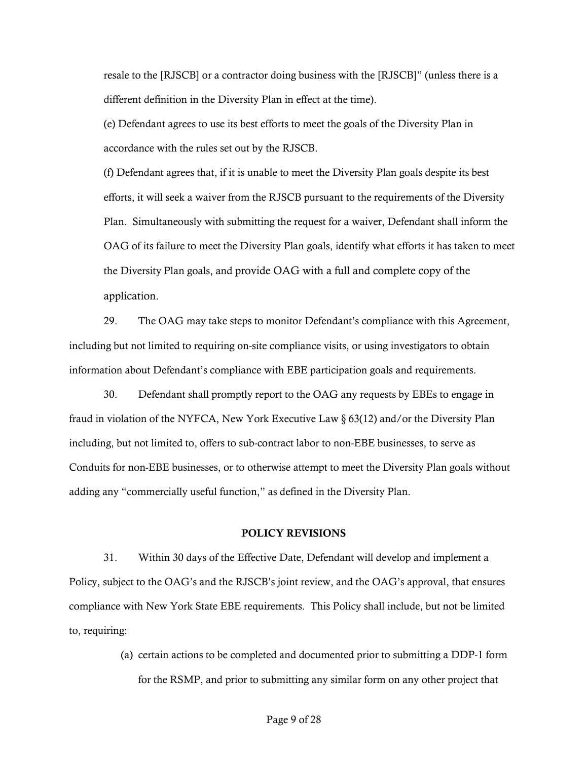resale to the [RJSCB] or a contractor doing business with the [RJSCB]" (unless there is a different definition in the Diversity Plan in effect at the time).

(e) Defendant agrees to use its best efforts to meet the goals of the Diversity Plan in accordance with the rules set out by the RJSCB.

(f) Defendant agrees that, if it is unable to meet the Diversity Plan goals despite its best efforts, it will seek a waiver from the RJSCB pursuant to the requirements of the Diversity Plan. Simultaneously with submitting the request for a waiver, Defendant shall inform the OAG of its failure to meet the Diversity Plan goals, identify what efforts it has taken to meet the Diversity Plan goals, and provide OAG with a full and complete copy of the application.

29. The OAG may take steps to monitor Defendant's compliance with this Agreement, including but not limited to requiring on-site compliance visits, or using investigators to obtain information about Defendant's compliance with EBE participation goals and requirements.

30. Defendant shall promptly report to the OAG any requests by EBEs to engage in fraud in violation of the NYFCA, New York Executive Law § 63(12) and/or the Diversity Plan including, but not limited to, offers to sub-contract labor to non-EBE businesses, to serve as Conduits for non-EBE businesses, or to otherwise attempt to meet the Diversity Plan goals without adding any "commercially useful function," as defined in the Diversity Plan.

#### POLICY REVISIONS

<span id="page-8-1"></span>31. Within 30 days of the Effective Date, Defendant will develop and implement a Policy, subject to the OAG's and the RJSCB's joint review, and the OAG's approval, that ensures compliance with New York State EBE requirements. This Policy shall include, but not be limited to, requiring:

> <span id="page-8-0"></span>(a) certain actions to be completed and documented prior to submitting a DDP-1 form for the RSMP, and prior to submitting any similar form on any other project that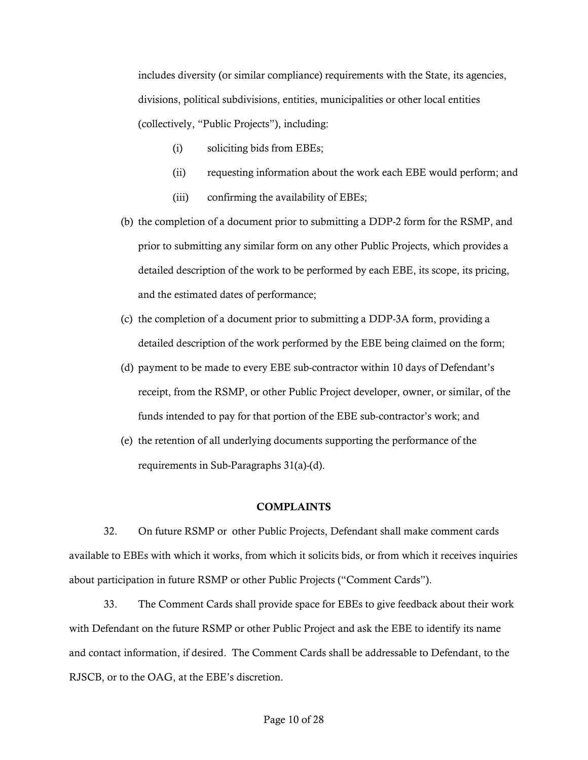includes diversity (or similar compliance) requirements with the State, its agencies, divisions, political subdivisions, entities, municipalities or other local entities (collectively, "Public Projects"), including:

- (i) soliciting bids from EBEs;
- (ii) requesting information about the work each EBE would perform; and
- (iii) confirming the availability of EBEs;
- (b) the completion of a document prior to submitting a DDP-2 form for the RSMP, and prior to submitting any similar form on any other Public Projects, which provides a detailed description of the work to be performed by each EBE, its scope, its pricing, and the estimated dates of performance;
- (c) the completion of a document prior to submitting a DDP-3A form, providing a detailed description of the work performed by the EBE being claimed on the form;
- <span id="page-9-0"></span>(d) payment to be made to every EBE sub-contractor within 10 days of Defendant's receipt, from the RSMP, or other Public Project developer, owner, or similar, of the funds intended to pay for that portion of the EBE sub-contractor's work; and
- (e) the retention of all underlying documents supporting the performance of the requirements in Sub-Paragraphs [31\(a\)](#page-8-0)[-\(d\).](#page-9-0)

#### **COMPLAINTS**

32. On future RSMP or other Public Projects, Defendant shall make comment cards available to EBEs with which it works, from which it solicits bids, or from which it receives inquiries about participation in future RSMP or other Public Projects ("Comment Cards").

33. The Comment Cards shall provide space for EBEs to give feedback about their work with Defendant on the future RSMP or other Public Project and ask the EBE to identify its name and contact information, if desired. The Comment Cards shall be addressable to Defendant, to the RJSCB, or to the OAG, at the EBE's discretion.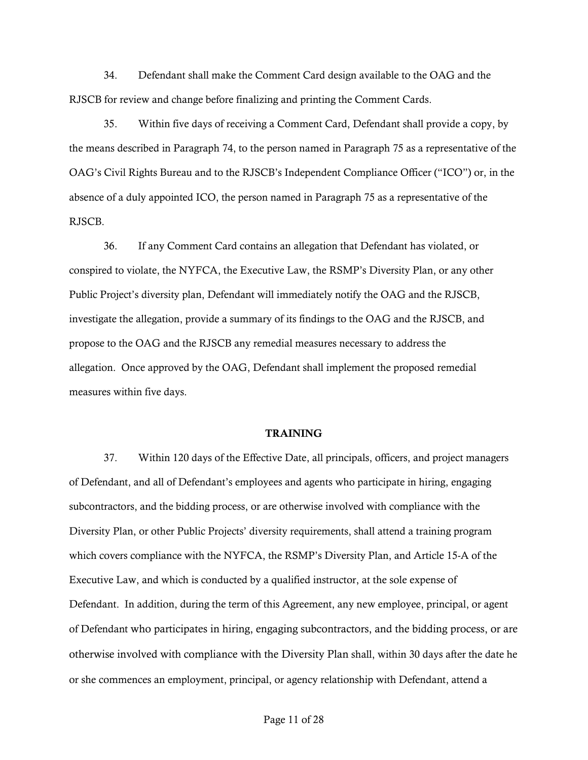34. Defendant shall make the Comment Card design available to the OAG and the RJSCB for review and change before finalizing and printing the Comment Cards.

35. Within five days of receiving a Comment Card, Defendant shall provide a copy, by the means described in Paragraph 74, to the person named in Paragraph 75 as a representative of the OAG's Civil Rights Bureau and to the RJSCB's Independent Compliance Officer ("ICO") or, in the absence of a duly appointed ICO, the person named in Paragraph 75 as a representative of the RJSCB.

<span id="page-10-0"></span>36. If any Comment Card contains an allegation that Defendant has violated, or conspired to violate, the NYFCA, the Executive Law, the RSMP's Diversity Plan, or any other Public Project's diversity plan, Defendant will immediately notify the OAG and the RJSCB, investigate the allegation, provide a summary of its findings to the OAG and the RJSCB, and propose to the OAG and the RJSCB any remedial measures necessary to address the allegation. Once approved by the OAG, Defendant shall implement the proposed remedial measures within five days.

#### TRAINING

37. Within 120 days of the Effective Date, all principals, officers, and project managers of Defendant, and all of Defendant's employees and agents who participate in hiring, engaging subcontractors, and the bidding process, or are otherwise involved with compliance with the Diversity Plan, or other Public Projects' diversity requirements, shall attend a training program which covers compliance with the NYFCA, the RSMP's Diversity Plan, and Article 15-A of the Executive Law, and which is conducted by a qualified instructor, at the sole expense of Defendant. In addition, during the term of this Agreement, any new employee, principal, or agent of Defendant who participates in hiring, engaging subcontractors, and the bidding process, or are otherwise involved with compliance with the Diversity Plan shall, within 30 days after the date he or she commences an employment, principal, or agency relationship with Defendant, attend a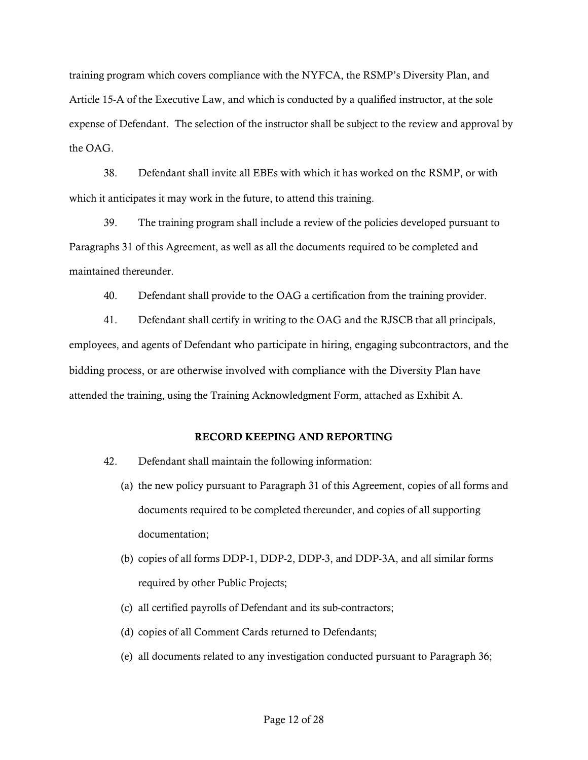training program which covers compliance with the NYFCA, the RSMP's Diversity Plan, and Article 15-A of the Executive Law, and which is conducted by a qualified instructor, at the sole expense of Defendant. The selection of the instructor shall be subject to the review and approval by the OAG.

38. Defendant shall invite all EBEs with which it has worked on the RSMP, or with which it anticipates it may work in the future, to attend this training.

39. The training program shall include a review of the policies developed pursuant to Paragraphs [31](#page-8-1) of this Agreement, as well as all the documents required to be completed and maintained thereunder.

40. Defendant shall provide to the OAG a certification from the training provider.

<span id="page-11-1"></span><span id="page-11-0"></span>41. Defendant shall certify in writing to the OAG and the RJSCB that all principals, employees, and agents of Defendant who participate in hiring, engaging subcontractors, and the bidding process, or are otherwise involved with compliance with the Diversity Plan have attended the training, using the Training Acknowledgment Form, attached as Exhibit A.

#### RECORD KEEPING AND REPORTING

- 42. Defendant shall maintain the following information:
	- (a) the new policy pursuant to Paragraph [31](#page-8-1) of this Agreement, copies of all forms and documents required to be completed thereunder, and copies of all supporting documentation;
	- (b) copies of all forms DDP-1, DDP-2, DDP-3, and DDP-3A, and all similar forms required by other Public Projects;
	- (c) all certified payrolls of Defendant and its sub-contractors;
	- (d) copies of all Comment Cards returned to Defendants;
	- (e) all documents related to any investigation conducted pursuant to Paragraph [36;](#page-10-0)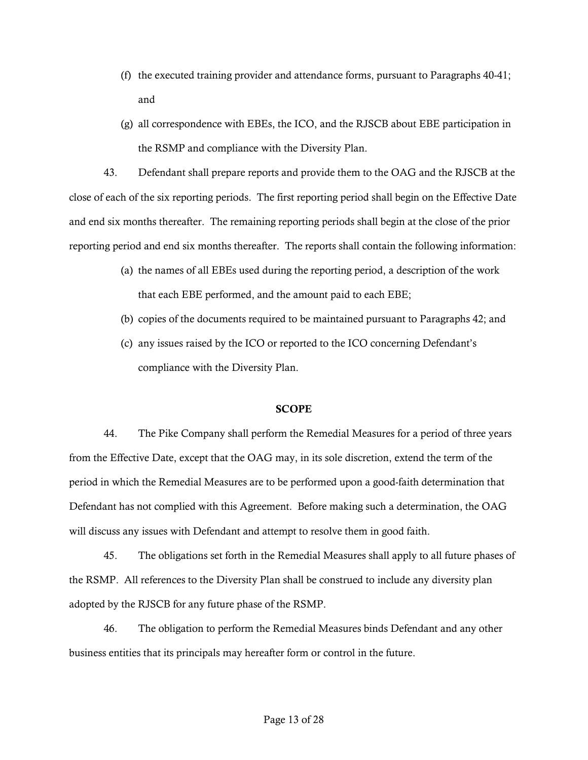- (f) the executed training provider and attendance forms, pursuant to Paragraphs [40](#page-11-0)[-41;](#page-11-1) and
- (g) all correspondence with EBEs, the ICO, and the RJSCB about EBE participation in the RSMP and compliance with the Diversity Plan.

43. Defendant shall prepare reports and provide them to the OAG and the RJSCB at the close of each of the six reporting periods. The first reporting period shall begin on the Effective Date and end six months thereafter. The remaining reporting periods shall begin at the close of the prior reporting period and end six months thereafter. The reports shall contain the following information:

- (a) the names of all EBEs used during the reporting period, a description of the work that each EBE performed, and the amount paid to each EBE;
- (b) copies of the documents required to be maintained pursuant to Paragraphs 42; and
- (c) any issues raised by the ICO or reported to the ICO concerning Defendant's compliance with the Diversity Plan.

#### **SCOPE**

44. The Pike Company shall perform the Remedial Measures for a period of three years from the Effective Date, except that the OAG may, in its sole discretion, extend the term of the period in which the Remedial Measures are to be performed upon a good-faith determination that Defendant has not complied with this Agreement. Before making such a determination, the OAG will discuss any issues with Defendant and attempt to resolve them in good faith.

45. The obligations set forth in the Remedial Measures shall apply to all future phases of the RSMP. All references to the Diversity Plan shall be construed to include any diversity plan adopted by the RJSCB for any future phase of the RSMP.

46. The obligation to perform the Remedial Measures binds Defendant and any other business entities that its principals may hereafter form or control in the future.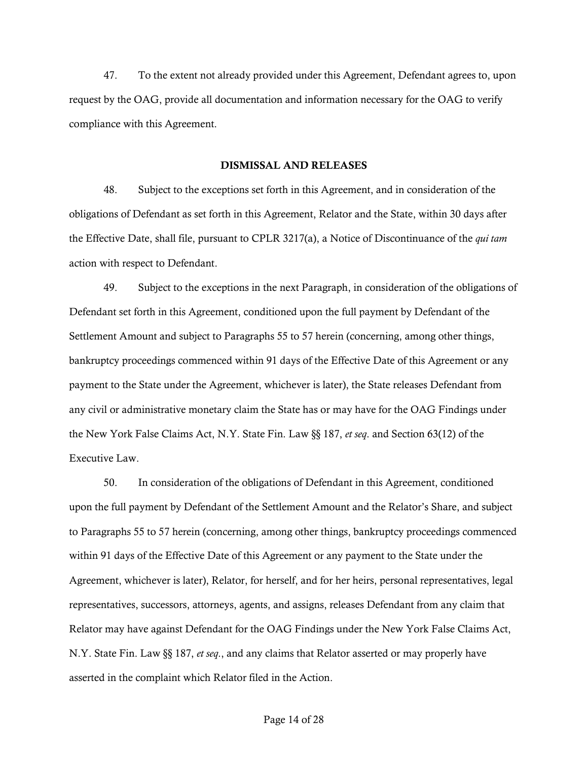47. To the extent not already provided under this Agreement, Defendant agrees to, upon request by the OAG, provide all documentation and information necessary for the OAG to verify compliance with this Agreement.

#### DISMISSAL AND RELEASES

48. Subject to the exceptions set forth in this Agreement, and in consideration of the obligations of Defendant as set forth in this Agreement, Relator and the State, within 30 days after the Effective Date, shall file, pursuant to CPLR 3217(a), a Notice of Discontinuance of the *qui tam*  action with respect to Defendant.

49. Subject to the exceptions in the next Paragraph, in consideration of the obligations of Defendant set forth in this Agreement, conditioned upon the full payment by Defendant of the Settlement Amount and subject to Paragraphs [55](#page-15-0) to 57 herein (concerning, among other things, bankruptcy proceedings commenced within 91 days of the Effective Date of this Agreement or any payment to the State under the Agreement, whichever is later), the State releases Defendant from any civil or administrative monetary claim the State has or may have for the OAG Findings under the New York False Claims Act, N.Y. State Fin. Law §§ 187, *et seq*. and Section 63(12) of the Executive Law.

50. In consideration of the obligations of Defendant in this Agreement, conditioned upon the full payment by Defendant of the Settlement Amount and the Relator's Share, and subject to Paragraphs [55](#page-15-0) to 57 herein (concerning, among other things, bankruptcy proceedings commenced within 91 days of the Effective Date of this Agreement or any payment to the State under the Agreement, whichever is later), Relator, for herself, and for her heirs, personal representatives, legal representatives, successors, attorneys, agents, and assigns, releases Defendant from any claim that Relator may have against Defendant for the OAG Findings under the New York False Claims Act, N.Y. State Fin. Law §§ 187, *et seq*., and any claims that Relator asserted or may properly have asserted in the complaint which Relator filed in the Action.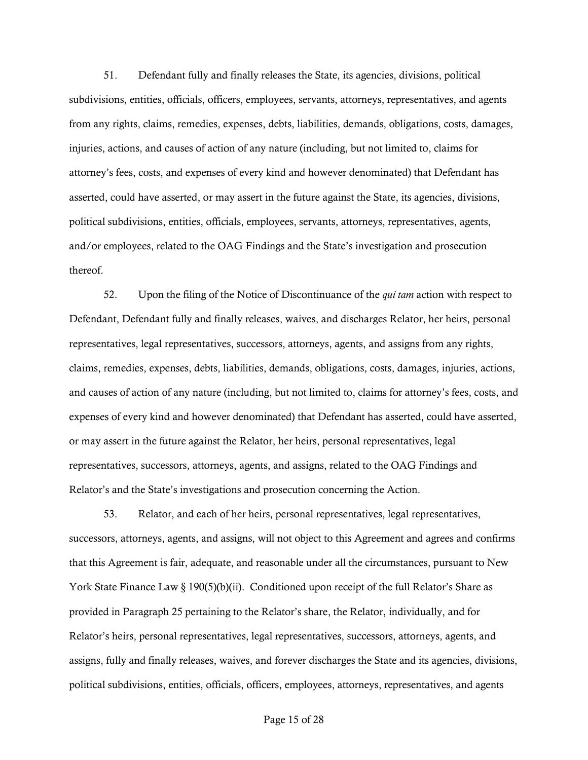51. Defendant fully and finally releases the State, its agencies, divisions, political subdivisions, entities, officials, officers, employees, servants, attorneys, representatives, and agents from any rights, claims, remedies, expenses, debts, liabilities, demands, obligations, costs, damages, injuries, actions, and causes of action of any nature (including, but not limited to, claims for attorney's fees, costs, and expenses of every kind and however denominated) that Defendant has asserted, could have asserted, or may assert in the future against the State, its agencies, divisions, political subdivisions, entities, officials, employees, servants, attorneys, representatives, agents, and/or employees, related to the OAG Findings and the State's investigation and prosecution thereof.

52. Upon the filing of the Notice of Discontinuance of the *qui tam* action with respect to Defendant, Defendant fully and finally releases, waives, and discharges Relator, her heirs, personal representatives, legal representatives, successors, attorneys, agents, and assigns from any rights, claims, remedies, expenses, debts, liabilities, demands, obligations, costs, damages, injuries, actions, and causes of action of any nature (including, but not limited to, claims for attorney's fees, costs, and expenses of every kind and however denominated) that Defendant has asserted, could have asserted, or may assert in the future against the Relator, her heirs, personal representatives, legal representatives, successors, attorneys, agents, and assigns, related to the OAG Findings and Relator's and the State's investigations and prosecution concerning the Action.

53. Relator, and each of her heirs, personal representatives, legal representatives, successors, attorneys, agents, and assigns, will not object to this Agreement and agrees and confirms that this Agreement is fair, adequate, and reasonable under all the circumstances, pursuant to New York State Finance Law  $\S 190(5)(b)(ii)$ . Conditioned upon receipt of the full Relator's Share as provided in Paragraph [25](#page-7-0) pertaining to the Relator's share, the Relator, individually, and for Relator's heirs, personal representatives, legal representatives, successors, attorneys, agents, and assigns, fully and finally releases, waives, and forever discharges the State and its agencies, divisions, political subdivisions, entities, officials, officers, employees, attorneys, representatives, and agents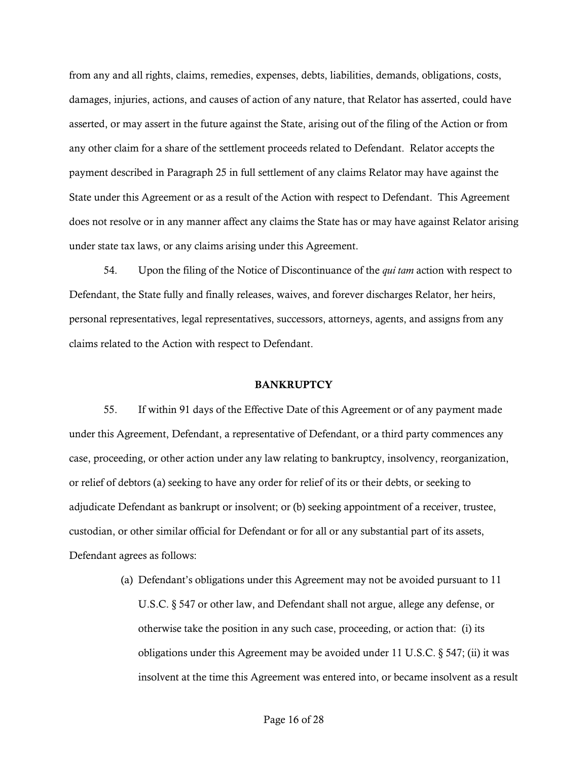from any and all rights, claims, remedies, expenses, debts, liabilities, demands, obligations, costs, damages, injuries, actions, and causes of action of any nature, that Relator has asserted, could have asserted, or may assert in the future against the State, arising out of the filing of the Action or from any other claim for a share of the settlement proceeds related to Defendant. Relator accepts the payment described in Paragrap[h 25](#page-7-0) in full settlement of any claims Relator may have against the State under this Agreement or as a result of the Action with respect to Defendant. This Agreement does not resolve or in any manner affect any claims the State has or may have against Relator arising under state tax laws, or any claims arising under this Agreement.

54. Upon the filing of the Notice of Discontinuance of the *qui tam* action with respect to Defendant, the State fully and finally releases, waives, and forever discharges Relator, her heirs, personal representatives, legal representatives, successors, attorneys, agents, and assigns from any claims related to the Action with respect to Defendant.

#### **BANKRUPTCY**

<span id="page-15-0"></span>55. If within 91 days of the Effective Date of this Agreement or of any payment made under this Agreement, Defendant, a representative of Defendant, or a third party commences any case, proceeding, or other action under any law relating to bankruptcy, insolvency, reorganization, or relief of debtors (a) seeking to have any order for relief of its or their debts, or seeking to adjudicate Defendant as bankrupt or insolvent; or (b) seeking appointment of a receiver, trustee, custodian, or other similar official for Defendant or for all or any substantial part of its assets, Defendant agrees as follows:

> (a) Defendant's obligations under this Agreement may not be avoided pursuant to 11 U.S.C. § 547 or other law, and Defendant shall not argue, allege any defense, or otherwise take the position in any such case, proceeding, or action that: (i) its obligations under this Agreement may be avoided under 11 U.S.C. § 547; (ii) it was insolvent at the time this Agreement was entered into, or became insolvent as a result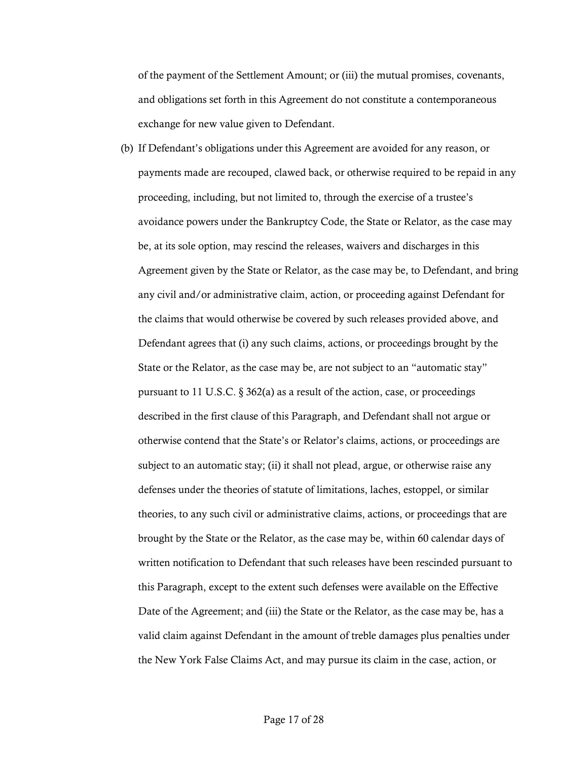of the payment of the Settlement Amount; or (iii) the mutual promises, covenants, and obligations set forth in this Agreement do not constitute a contemporaneous exchange for new value given to Defendant.

(b) If Defendant's obligations under this Agreement are avoided for any reason, or payments made are recouped, clawed back, or otherwise required to be repaid in any proceeding, including, but not limited to, through the exercise of a trustee's avoidance powers under the Bankruptcy Code, the State or Relator, as the case may be, at its sole option, may rescind the releases, waivers and discharges in this Agreement given by the State or Relator, as the case may be, to Defendant, and bring any civil and/or administrative claim, action, or proceeding against Defendant for the claims that would otherwise be covered by such releases provided above, and Defendant agrees that (i) any such claims, actions, or proceedings brought by the State or the Relator, as the case may be, are not subject to an "automatic stay" pursuant to 11 U.S.C.  $\S 362(a)$  as a result of the action, case, or proceedings described in the first clause of this Paragraph, and Defendant shall not argue or otherwise contend that the State's or Relator's claims, actions, or proceedings are subject to an automatic stay; (ii) it shall not plead, argue, or otherwise raise any defenses under the theories of statute of limitations, laches, estoppel, or similar theories, to any such civil or administrative claims, actions, or proceedings that are brought by the State or the Relator, as the case may be, within 60 calendar days of written notification to Defendant that such releases have been rescinded pursuant to this Paragraph, except to the extent such defenses were available on the Effective Date of the Agreement; and (iii) the State or the Relator, as the case may be, has a valid claim against Defendant in the amount of treble damages plus penalties under the New York False Claims Act, and may pursue its claim in the case, action, or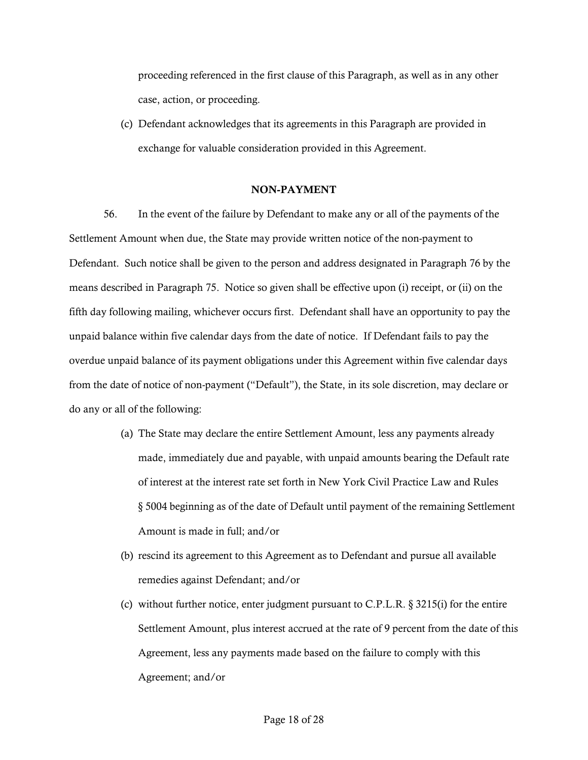proceeding referenced in the first clause of this Paragraph, as well as in any other case, action, or proceeding.

(c) Defendant acknowledges that its agreements in this Paragraph are provided in exchange for valuable consideration provided in this Agreement.

#### NON-PAYMENT

56. In the event of the failure by Defendant to make any or all of the payments of the Settlement Amount when due, the State may provide written notice of the non-payment to Defendant. Such notice shall be given to the person and address designated in Paragraph [76](#page-22-0) by the means described in Paragraph [75.](#page-22-1) Notice so given shall be effective upon (i) receipt, or (ii) on the fifth day following mailing, whichever occurs first. Defendant shall have an opportunity to pay the unpaid balance within five calendar days from the date of notice. If Defendant fails to pay the overdue unpaid balance of its payment obligations under this Agreement within five calendar days from the date of notice of non-payment ("Default"), the State, in its sole discretion, may declare or do any or all of the following:

- (a) The State may declare the entire Settlement Amount, less any payments already made, immediately due and payable, with unpaid amounts bearing the Default rate of interest at the interest rate set forth in New York Civil Practice Law and Rules § 5004 beginning as of the date of Default until payment of the remaining Settlement Amount is made in full; and/or
- (b) rescind its agreement to this Agreement as to Defendant and pursue all available remedies against Defendant; and/or
- (c) without further notice, enter judgment pursuant to C.P.L.R. § 3215(i) for the entire Settlement Amount, plus interest accrued at the rate of 9 percent from the date of this Agreement, less any payments made based on the failure to comply with this Agreement; and/or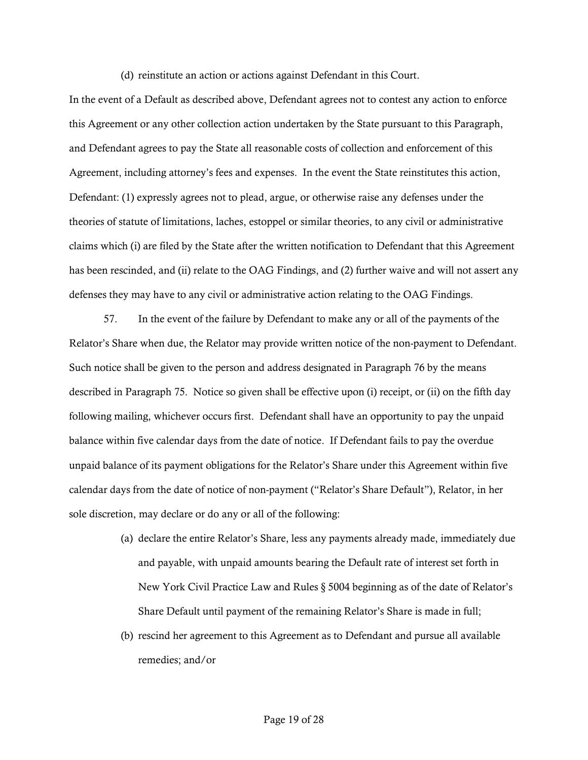(d) reinstitute an action or actions against Defendant in this Court.

In the event of a Default as described above, Defendant agrees not to contest any action to enforce this Agreement or any other collection action undertaken by the State pursuant to this Paragraph, and Defendant agrees to pay the State all reasonable costs of collection and enforcement of this Agreement, including attorney's fees and expenses. In the event the State reinstitutes this action, Defendant: (1) expressly agrees not to plead, argue, or otherwise raise any defenses under the theories of statute of limitations, laches, estoppel or similar theories, to any civil or administrative claims which (i) are filed by the State after the written notification to Defendant that this Agreement has been rescinded, and (ii) relate to the OAG Findings, and (2) further waive and will not assert any defenses they may have to any civil or administrative action relating to the OAG Findings.

57. In the event of the failure by Defendant to make any or all of the payments of the Relator's Share when due, the Relator may provide written notice of the non-payment to Defendant. Such notice shall be given to the person and address designated in Paragraph 76 by the means described in Paragraph 75. Notice so given shall be effective upon (i) receipt, or (ii) on the fifth day following mailing, whichever occurs first. Defendant shall have an opportunity to pay the unpaid balance within five calendar days from the date of notice. If Defendant fails to pay the overdue unpaid balance of its payment obligations for the Relator's Share under this Agreement within five calendar days from the date of notice of non-payment ("Relator's Share Default"), Relator, in her sole discretion, may declare or do any or all of the following:

- (a) declare the entire Relator's Share, less any payments already made, immediately due and payable, with unpaid amounts bearing the Default rate of interest set forth in New York Civil Practice Law and Rules § 5004 beginning as of the date of Relator's Share Default until payment of the remaining Relator's Share is made in full;
- (b) rescind her agreement to this Agreement as to Defendant and pursue all available remedies; and/or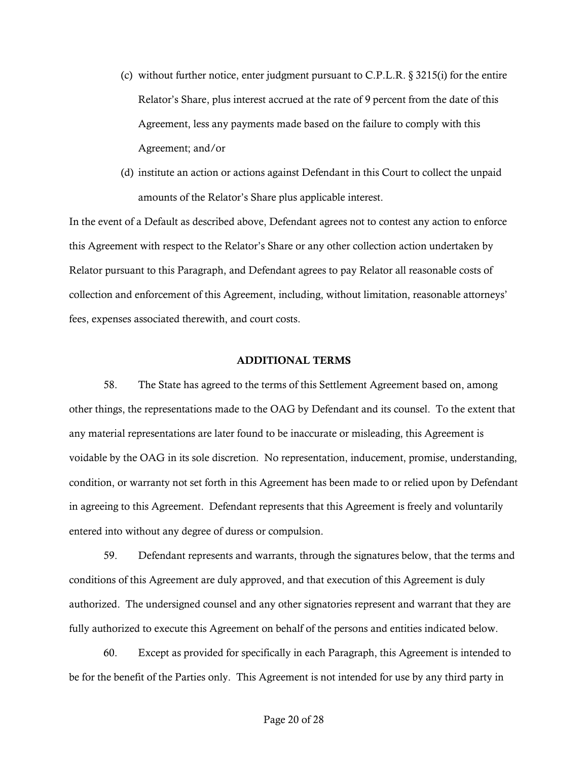- (c) without further notice, enter judgment pursuant to C.P.L.R. § 3215(i) for the entire Relator's Share, plus interest accrued at the rate of 9 percent from the date of this Agreement, less any payments made based on the failure to comply with this Agreement; and/or
- (d) institute an action or actions against Defendant in this Court to collect the unpaid amounts of the Relator's Share plus applicable interest.

In the event of a Default as described above, Defendant agrees not to contest any action to enforce this Agreement with respect to the Relator's Share or any other collection action undertaken by Relator pursuant to this Paragraph, and Defendant agrees to pay Relator all reasonable costs of collection and enforcement of this Agreement, including, without limitation, reasonable attorneys' fees, expenses associated therewith, and court costs.

#### ADDITIONAL TERMS

58. The State has agreed to the terms of this Settlement Agreement based on, among other things, the representations made to the OAG by Defendant and its counsel. To the extent that any material representations are later found to be inaccurate or misleading, this Agreement is voidable by the OAG in its sole discretion. No representation, inducement, promise, understanding, condition, or warranty not set forth in this Agreement has been made to or relied upon by Defendant in agreeing to this Agreement. Defendant represents that this Agreement is freely and voluntarily entered into without any degree of duress or compulsion.

59. Defendant represents and warrants, through the signatures below, that the terms and conditions of this Agreement are duly approved, and that execution of this Agreement is duly authorized. The undersigned counsel and any other signatories represent and warrant that they are fully authorized to execute this Agreement on behalf of the persons and entities indicated below.

60. Except as provided for specifically in each Paragraph, this Agreement is intended to be for the benefit of the Parties only. This Agreement is not intended for use by any third party in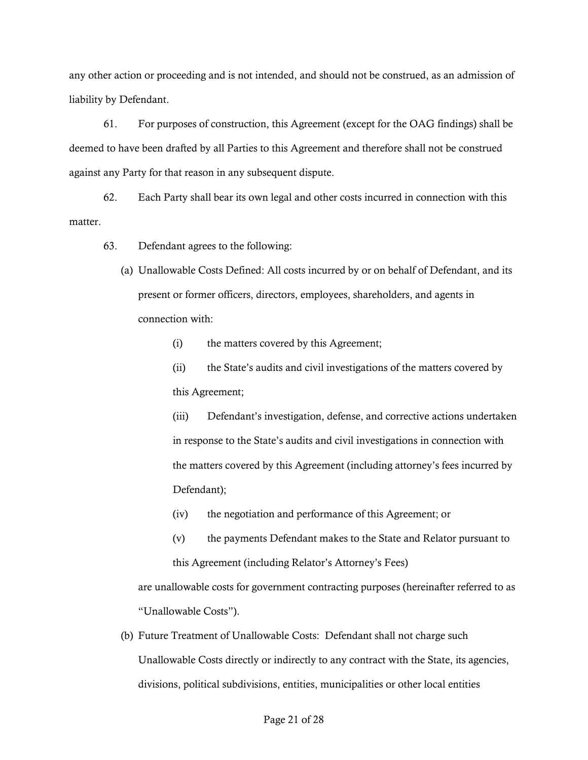any other action or proceeding and is not intended, and should not be construed, as an admission of liability by Defendant.

61. For purposes of construction, this Agreement (except for the OAG findings) shall be deemed to have been drafted by all Parties to this Agreement and therefore shall not be construed against any Party for that reason in any subsequent dispute.

62. Each Party shall bear its own legal and other costs incurred in connection with this matter.

63. Defendant agrees to the following:

(a) Unallowable Costs Defined: All costs incurred by or on behalf of Defendant, and its present or former officers, directors, employees, shareholders, and agents in connection with:

(i) the matters covered by this Agreement;

(ii) the State's audits and civil investigations of the matters covered by this Agreement;

(iii) Defendant's investigation, defense, and corrective actions undertaken in response to the State's audits and civil investigations in connection with the matters covered by this Agreement (including attorney's fees incurred by Defendant);

(iv) the negotiation and performance of this Agreement; or

(v) the payments Defendant makes to the State and Relator pursuant to this Agreement (including Relator's Attorney's Fees)

are unallowable costs for government contracting purposes (hereinafter referred to as "Unallowable Costs").

(b) Future Treatment of Unallowable Costs: Defendant shall not charge such Unallowable Costs directly or indirectly to any contract with the State, its agencies, divisions, political subdivisions, entities, municipalities or other local entities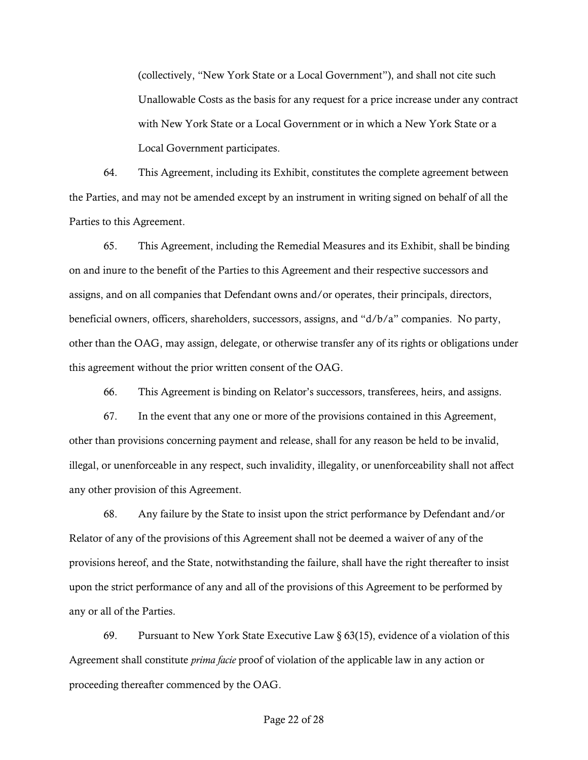(collectively, "New York State or a Local Government"), and shall not cite such Unallowable Costs as the basis for any request for a price increase under any contract with New York State or a Local Government or in which a New York State or a Local Government participates.

64. This Agreement, including its Exhibit, constitutes the complete agreement between the Parties, and may not be amended except by an instrument in writing signed on behalf of all the Parties to this Agreement.

65. This Agreement, including the Remedial Measures and its Exhibit, shall be binding on and inure to the benefit of the Parties to this Agreement and their respective successors and assigns, and on all companies that Defendant owns and/or operates, their principals, directors, beneficial owners, officers, shareholders, successors, assigns, and "d/b/a" companies. No party, other than the OAG, may assign, delegate, or otherwise transfer any of its rights or obligations under this agreement without the prior written consent of the OAG.

66. This Agreement is binding on Relator's successors, transferees, heirs, and assigns.

67. In the event that any one or more of the provisions contained in this Agreement, other than provisions concerning payment and release, shall for any reason be held to be invalid, illegal, or unenforceable in any respect, such invalidity, illegality, or unenforceability shall not affect any other provision of this Agreement.

68. Any failure by the State to insist upon the strict performance by Defendant and/or Relator of any of the provisions of this Agreement shall not be deemed a waiver of any of the provisions hereof, and the State, notwithstanding the failure, shall have the right thereafter to insist upon the strict performance of any and all of the provisions of this Agreement to be performed by any or all of the Parties.

69. Pursuant to New York State Executive Law  $\S 63(15)$ , evidence of a violation of this Agreement shall constitute *prima facie* proof of violation of the applicable law in any action or proceeding thereafter commenced by the OAG.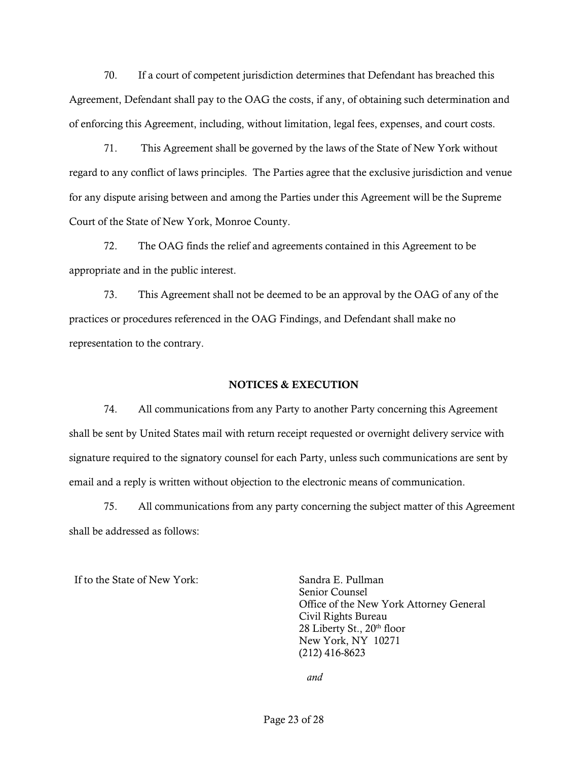70. If a court of competent jurisdiction determines that Defendant has breached this Agreement, Defendant shall pay to the OAG the costs, if any, of obtaining such determination and of enforcing this Agreement, including, without limitation, legal fees, expenses, and court costs.

71. This Agreement shall be governed by the laws of the State of New York without regard to any conflict of laws principles. The Parties agree that the exclusive jurisdiction and venue for any dispute arising between and among the Parties under this Agreement will be the Supreme Court of the State of New York, Monroe County.

72. The OAG finds the relief and agreements contained in this Agreement to be appropriate and in the public interest.

73. This Agreement shall not be deemed to be an approval by the OAG of any of the practices or procedures referenced in the OAG Findings, and Defendant shall make no representation to the contrary.

## NOTICES & EXECUTION

<span id="page-22-1"></span>74. All communications from any Party to another Party concerning this Agreement shall be sent by United States mail with return receipt requested or overnight delivery service with signature required to the signatory counsel for each Party, unless such communications are sent by email and a reply is written without objection to the electronic means of communication.

<span id="page-22-0"></span>75. All communications from any party concerning the subject matter of this Agreement shall be addressed as follows:

If to the State of New York: Sandra E. Pullman

Senior Counsel Office of the New York Attorney General Civil Rights Bureau 28 Liberty St., 20<sup>th</sup> floor New York, NY 10271 (212) 416-8623

*and*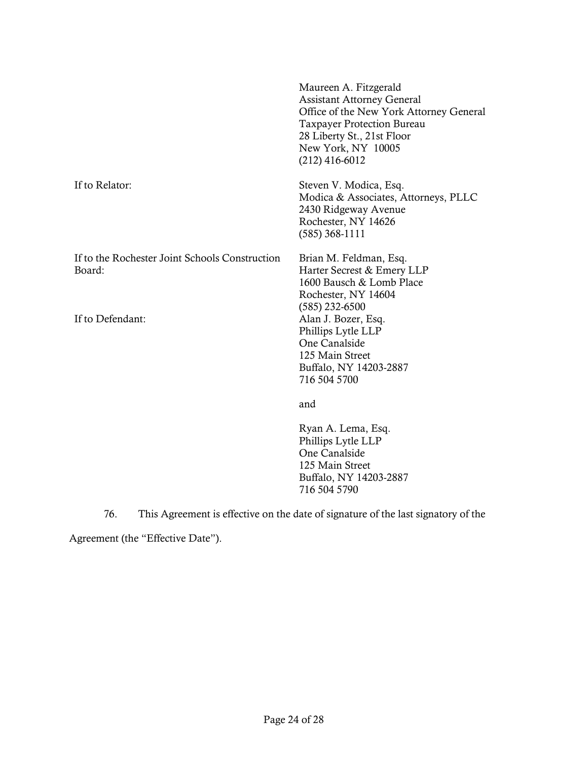|                                                          | Maureen A. Fitzgerald<br><b>Assistant Attorney General</b><br>Office of the New York Attorney General<br><b>Taxpayer Protection Bureau</b><br>28 Liberty St., 21st Floor<br>New York, NY 10005<br>$(212)$ 416-6012 |
|----------------------------------------------------------|--------------------------------------------------------------------------------------------------------------------------------------------------------------------------------------------------------------------|
| If to Relator:                                           | Steven V. Modica, Esq.<br>Modica & Associates, Attorneys, PLLC<br>2430 Ridgeway Avenue<br>Rochester, NY 14626<br>$(585)$ 368-1111                                                                                  |
| If to the Rochester Joint Schools Construction<br>Board: | Brian M. Feldman, Esq.<br>Harter Secrest & Emery LLP<br>1600 Bausch & Lomb Place<br>Rochester, NY 14604<br>$(585)$ 232-6500                                                                                        |
| If to Defendant:                                         | Alan J. Bozer, Esq.<br>Phillips Lytle LLP<br>One Canalside<br>125 Main Street<br>Buffalo, NY 14203-2887<br>716 504 5700                                                                                            |
|                                                          | and                                                                                                                                                                                                                |
|                                                          | Ryan A. Lema, Esq.<br>Phillips Lytle LLP<br>One Canalside<br>125 Main Street                                                                                                                                       |

76. This Agreement is effective on the date of signature of the last signatory of the

Buffalo, NY 14203-2887

716 504 5790

Agreement (the "Effective Date").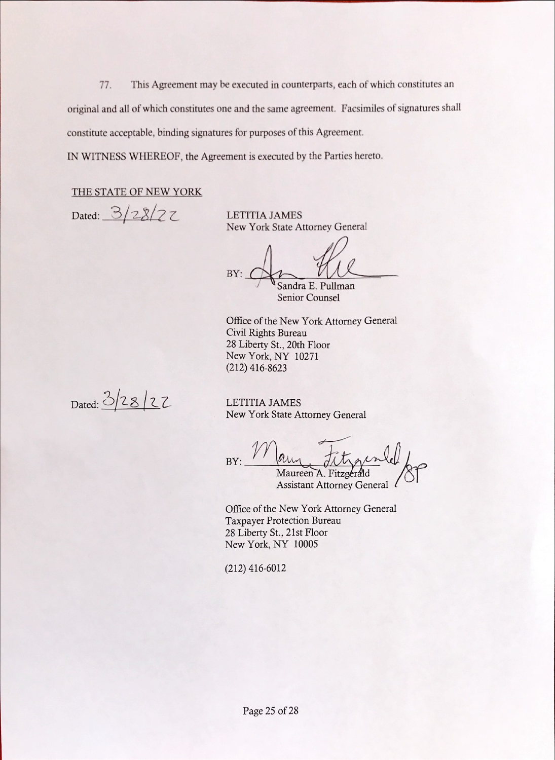This Agreement may be executed in counterparts, each of which constitutes an 77. original and all of which constitutes one and the same agreement. Facsimiles of signatures shall constitute acceptable, binding signatures for purposes of this Agreement. IN WITNESS WHEREOF, the Agreement is executed by the Parties hereto.

# THE STATE OF NEW YORK

Dated: 3/28/22

LETITIA JAMES New York State Attorney General

BY: Sandra E. Pullman Senior Counsel

Office of the New York Attorney General Civil Rights Bureau 28 Liberty St., 20th Floor New York, NY 10271

 $(212)$  416-8623

Dated: 3/28/22

**LETITIA JAMES** New York State Attorney General

BY: Maureen A. Fitzgerald **Assistant Attorney General** 

Office of the New York Attorney General Taxpayer Protection Bureau 28 Liberty St., 21st Floor New York, NY 10005

 $(212)$  416-6012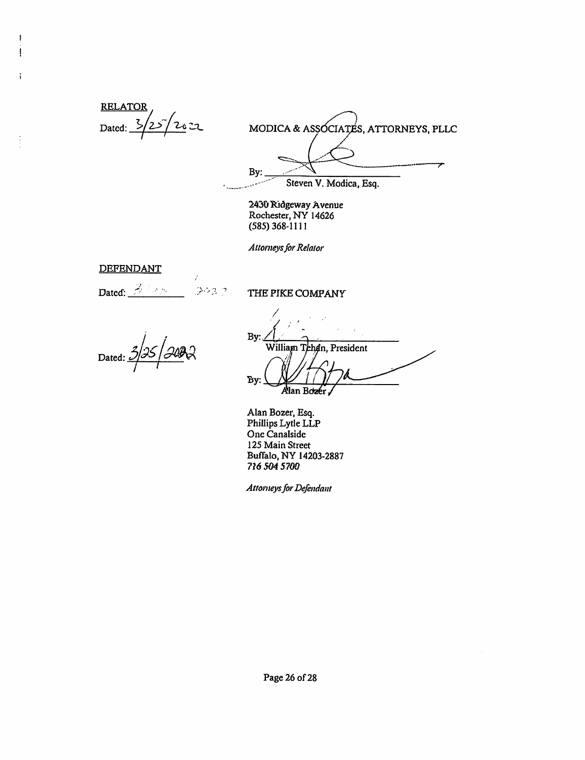**RELATOR** 2022 Dated:

MODICA & ASSOCIATES, ATTORNEYS, PLLC By:

Steven V. Modica, Esq.

2430 Ridgeway Avenue Rochester, NY 14626  $(585)$  368-1111

Attorneys for Relator

#### DEFENDANT

í. Z,  $3027$  $\sim 100$ Dated:

THE PIKE COMPANY

Dated:

By: William Tehan, President Ъy: Alan Bozer

Alan Bozer, Esq. Phillips Lytle LLP One Canalside 125 Main Street Buffalo, NY 14203-2887 716 504 5700

**Attorneys for Defendant**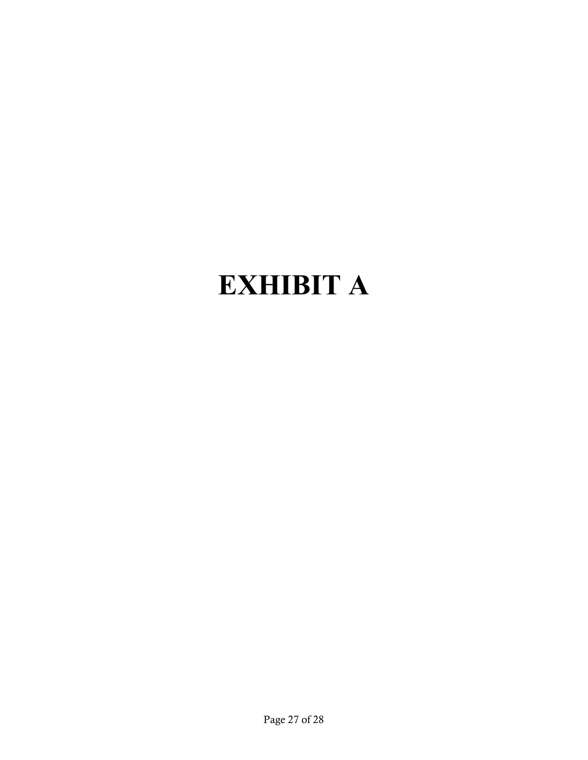# **EXHIBIT A**